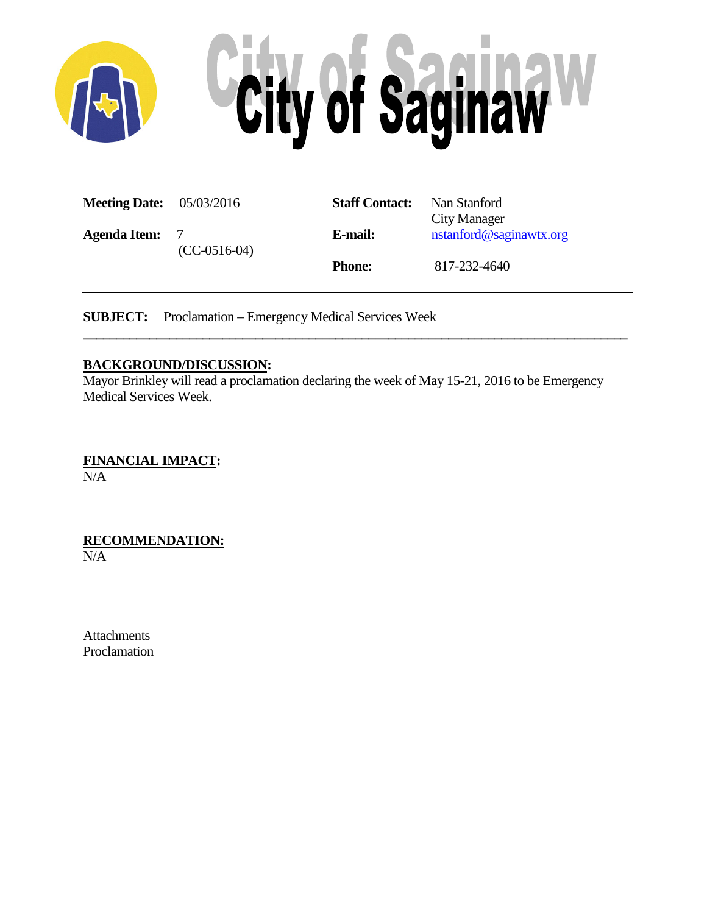

| <b>Meeting Date:</b> 05/03/2016 |                                  | <b>Staff Contact:</b> | Nan Stanford<br><b>City Manager</b> |
|---------------------------------|----------------------------------|-----------------------|-------------------------------------|
| <b>Agenda Item:</b>             | $\overline{7}$<br>$(CC-0516-04)$ | E-mail:               | nstanford@saginawtx.org             |
|                                 |                                  | <b>Phone:</b>         | 817-232-4640                        |

**SUBJECT:** Proclamation – Emergency Medical Services Week

## **BACKGROUND/DISCUSSION:**

Mayor Brinkley will read a proclamation declaring the week of May 15-21, 2016 to be Emergency Medical Services Week.

**\_\_\_\_\_\_\_\_\_\_\_\_\_\_\_\_\_\_\_\_\_\_\_\_\_\_\_\_\_\_\_\_\_\_\_\_\_\_\_\_\_\_\_\_\_\_\_\_\_\_\_\_\_\_\_\_\_\_\_\_\_\_\_\_\_\_\_\_\_\_\_\_\_\_\_\_\_\_\_\_\_\_**

**FINANCIAL IMPACT:** N/A

**RECOMMENDATION:** N/A

Attachments Proclamation